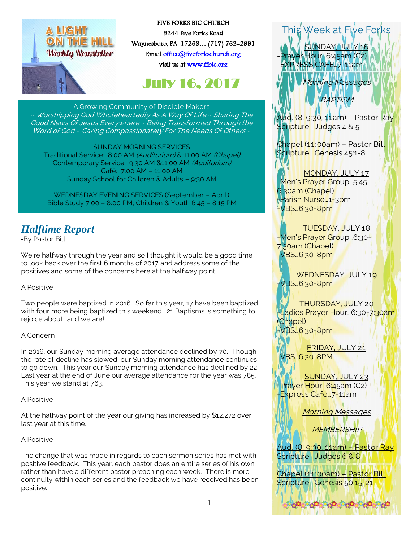

FIVE FORKS BIC CHURCH 9244 Five Forks Road Waynesboro, PA 17268… (717) 762-2991 Emai[l office@fiveforkschurch.org](mailto:office@fiveforkschurch.org)  visit us a[t www.ffbic.org](http://www.ffbic.org/) 

# July 16, 2017

A Growing Community of Disciple Makers

~ Worshipping God Wholeheartedly As A Way Of Life ~ Sharing The Good News Of Jesus Everywhere ~ Being Transformed Through the Word of God ~ Caring Compassionately For The Needs Of Others ~

SUNDAY MORNING SERVICES Traditional Service: 8:00 AM (Auditorium) & 11:00 AM (Chapel) Contemporary Service: 9:30 AM &11:00 AM (Auditorium) Café: 7:00 AM – 11:00 AM Sunday School for Children & Adults – 9:30 AM

WEDNESDAY EVENING SERVICES (September – April) Bible Study 7:00 – 8:00 PM; Children & Youth 6:45 – 8:15 PM

## *Halftime Report*

-By Pastor Bill

We're halfway through the year and so I thought it would be a good time to look back over the first 6 months of 2017 and address some of the positives and some of the concerns here at the halfway point.

A Positive

Two people were baptized in 2016. So far this year, 17 have been baptized with four more being baptized this weekend. 21 Baptisms is something to rejoice about...and we are!

#### A Concern

In 2016, our Sunday morning average attendance declined by 70. Though the rate of decline has slowed, our Sunday morning attendance continues to go down. This year our Sunday morning attendance has declined by 22. Last year at the end of June our average attendance for the year was 785. This year we stand at 763.

A Positive

At the halfway point of the year our giving has increased by \$12,272 over last year at this time.

#### A Positive

Con continuity within each series and the feedback we have received has been The change that was made in regards to each sermon series has met with positive feedback. This year, each pastor does an entire series of his own rather than have a different pastor preaching each week. There is more positive.

This Week at Five Forks SUNDAY, JULY 16 er Hour…6:45am (C2) -EXPRESS CAFE…7-11am Messages

 $(8, 9.30, 11am)$  – Pastor Ray cripture: Judges 4 & 5

BAPTISM

<mark>Chapel (11:00am</mark>) – Pastor Bil<mark>l</mark> Scripture: Genesis 45:1-8

MONDAY, JULY 17 Men's Prayer Group...5:45-6:30am (Chapel) -Parish Nurse…1-3pm -VBS…6:30-8pm

#### TUESDAY, JULY 18

-Men's Prayer Group... 6:30-7:30am (Chapel) -VBS…6:30-8pm

WEDNESDAY, JULY 19 -VBS…6:30-8pm

THURSDAY, JULY 20 -Ladies Prayer Hour…6:30-7:30am (Chapel) -VBS…6:30-8pm

FRIDAY, JULY 21 VBS...6:30-8PM

SUNDAY, JULY 23 -Prayer Hour…6:45am (C2) -Express Cafe…7-11am

Morning Messages

**MEMBERSHIP** 

Aud. (8, 9:30, 11am) – Pastor Ray Scripture: Judges 6 & 8

Chapel (11:00am) – Pastor Bill Scripture: Genesis 50:15-21

ებ იბ ებ ებ ებ ებ ებ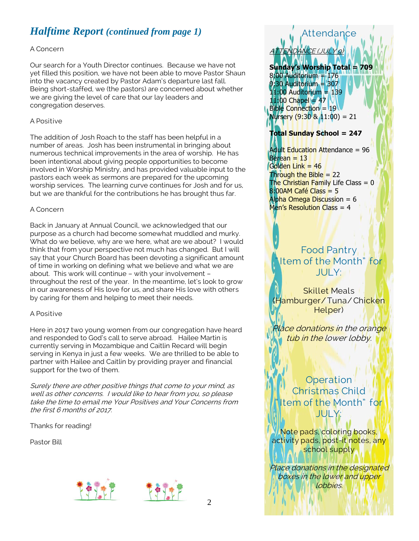## *Halftime Report (continued from page 1)*

#### A Concern

Our search for a Youth Director continues. Because we have not yet filled this position, we have not been able to move Pastor Shaun into the vacancy created by Pastor Adam's departure last fall. Being short-staffed, we (the pastors) are concerned about whether we are giving the level of care that our lay leaders and congregation deserves.

#### A Positive

The addition of Josh Roach to the staff has been helpful in a number of areas. Josh has been instrumental in bringing about numerous technical improvements in the area of worship. He has been intentional about giving people opportunities to become involved in Worship Ministry, and has provided valuable input to the pastors each week as sermons are prepared for the upcoming worship services. The learning curve continues for Josh and for us, but we are thankful for the contributions he has brought thus far.

#### A Concern

Back in January at Annual Council, we acknowledged that our purpose as a church had become somewhat muddled and murky. What do we believe, why are we here, what are we about? I would think that from your perspective not much has changed. But I will say that your Church Board has been devoting a significant amount of time in working on defining what we believe and what we are about. This work will continue – with your involvement – throughout the rest of the year. In the meantime, let's look to grow in our awareness of His love for us, and share His love with others by caring for them and helping to meet their needs.

#### A Positive

Here in 2017 two young women from our congregation have heard and responded to God's call to serve abroad. Hailee Martin is currently serving in Mozambique and Caitlin Recard will begin serving in Kenya in just a few weeks. We are thrilled to be able to partner with Hailee and Caitlin by providing prayer and financial support for the two of them.

Surely there are other positive things that come to your mind, as well as other concerns. I would like to hear from you, so please take the time to email me Your Positives and Your Concerns from the first 6 months of 2017.

Thanks for reading!

Pastor Bill





ATTENDANCE (JULY 9) **Sunday's Worship Total = 709** 8:00 Auditorium = 176 9:30 Auditorium = 307 11:00 Auditorium = 139  $11:00$  Chapel  $= 47$ Bible Connection = 19 Nursery  $(9:30 \& 11:00) = 21$ 

Attendance

### **Total Sunday School = 247**

Adult Education Attendance = 96  $Berean = 13$ Golden Link = 46 Through the Bible = 22 The Christian Family Life Class  $= 0$  $8:00$ AM Café Class = 5 Alpha Omega Discussion = 6 Men's Resolution Class = 4

## Food Pantry Item of the Month" for JULY:

Skillet Meals (Hamburger/Tuna/ Chicken Helper)

Place donations in the orange tub in the lower lobby.

**Operation** Christmas Child Item of the Month" for JULY:

Note pads, coloring books, activity pads, post-it notes, any school supply

Place donations in the designated boxes in the lower and upper lobbies.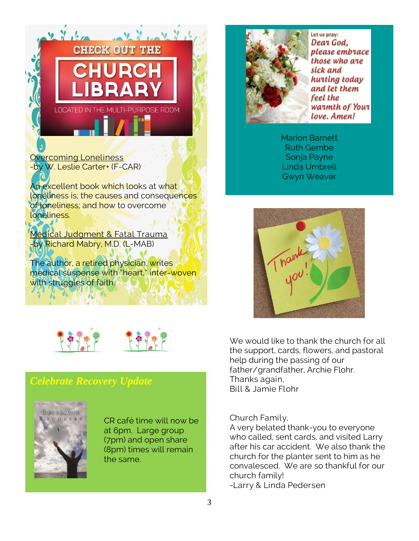**LOCATED IN THE** PURPOSE ROOM

Overcoming Loneliness -by W. Leslie Carter+ (F-CAR)

An excellent book which looks at what loneliness is; the causes and consequences of loneliness; and how to overcome loneliness.

CHECK OUT THE

URCH

Medical Judgment & Fatal Trauma -by Richard Mabry, M.D. (L-MAB)

The author, a retired physician, writes medical suspense with "heart," inter-woven with struggles of faith.





## *Celebrate Recovery Update*



CR café time will now be at 6pm. Large group (7pm) and open share (8pm) times will remain the same.



Let us pray: Dear God. please embrace those who are sick and hurting today and let them feel the warmth of Your love. Amen!

Marion Barnett Ruth Gembe Sonja Payne Linda Umbrell Gwyn Weaver



We would like to thank the church for all the support, cards, flowers, and pastoral help during the passing of our father/grandfather, Archie Flohr. Thanks again, Bill & Jamie Flohr

#### Church Family,

A very belated thank-you to everyone who called, sent cards, and visited Larry after his car accident. We also thank the church for the planter sent to him as he convalesced. We are so thankful for our church family!

-Larry & Linda Pedersen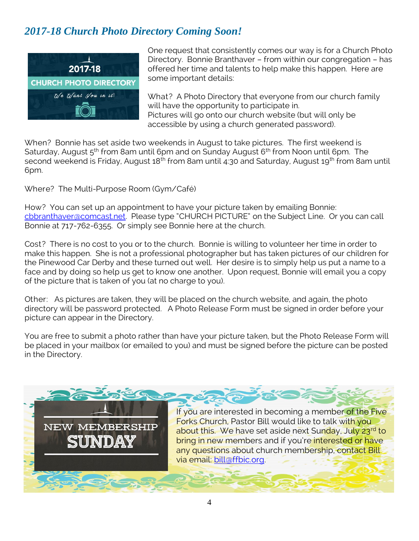## *2017-18 Church Photo Directory Coming Soon!*



One request that consistently comes our way is for a Church Photo Directory. Bonnie Branthaver – from within our congregation – has offered her time and talents to help make this happen. Here are some important details:

What? A Photo Directory that everyone from our church family will have the opportunity to participate in. Pictures will go onto our church website (but will only be accessible by using a church generated password).

When? Bonnie has set aside two weekends in August to take pictures. The first weekend is Saturday, August  $5<sup>th</sup>$  from 8am until 6pm and on Sunday August 6<sup>th</sup> from Noon until 6pm. The second weekend is Friday, August 18<sup>th</sup> from 8am until 4:30 and Saturday, August 19<sup>th</sup> from 8am until 6pm.

Where? The Multi-Purpose Room (Gym/Café)

How? You can set up an appointment to have your picture taken by emailing Bonnie: [cbbranthaver@comcast.net](mailto:cbbranthaver@comcast.net). Please type "CHURCH PICTURE" on the Subject Line. Or you can call Bonnie at 717-762-6355. Or simply see Bonnie here at the church.

Cost? There is no cost to you or to the church. Bonnie is willing to volunteer her time in order to make this happen. She is not a professional photographer but has taken pictures of our children for the Pinewood Car Derby and these turned out well. Her desire is to simply help us put a name to a face and by doing so help us get to know one another. Upon request, Bonnie will email you a copy of the picture that is taken of you (at no charge to you).

Other: As pictures are taken, they will be placed on the church website, and again, the photo directory will be password protected. A Photo Release Form must be signed in order before your picture can appear in the Directory.

You are free to submit a photo rather than have your picture taken, but the Photo Release Form will be placed in your mailbox (or emailed to you) and must be signed before the picture can be posted in the Directory.

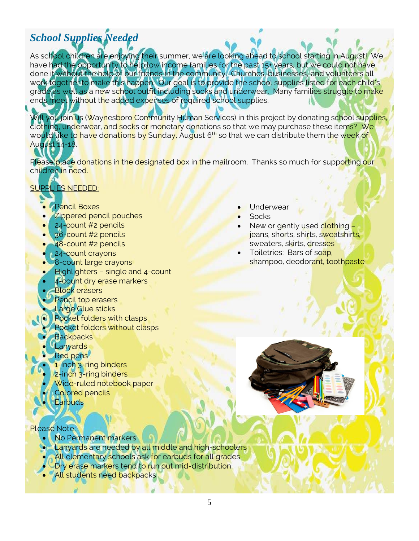## *School Supplies Needed*

As school children are enjoying their summer, we are looking ahead to school starting in August! We have had the opportunity to help low income families for the past 15+ years, but we could not have done it without the help of our friends in the community. Churches, businesses, and volunteers all work together to make this happen. Our goal is to provide the school supplies listed for each child's grade as well as a new school outfit including socks and underwear. Many families struggle to make ends meet without the added expenses of required school supplies.

Will you join us (Waynesboro Community Human Services) in this project by donating school supplies, clot<mark>hing, unde</mark>rwear, and socks or monetary donations so that we may purchase these items? We i would like to have donations by Sunday, August 6<sup>th</sup> so that we can distribute them the week of August 14-18.

Please place donations in the designated box in the mailroom. Thanks so much for supporting our children in need.

#### SUPPLIES NEEDED:

- Pencil Boxes
- **Zippered pencil pouches**
- 24-count #2 pencils
- 36-count #2 pencils
- 48-count #2 pencils
- **24-count crayons**
- 8-count large crayons
- Highlighters single and 4-count
- 4-count dry erase markers
- **Block erasers**
- **Pencil top erasers**
- Large Glue sticks
- **Pocket folders with clasps**
- **Pocket folders without clasps**
- **Backpacks**
- **Lanyards**
- Red pens
	- 1-inch 3-ring binders
- 2-inch 3-ring binders
- Wide-ruled notebook paper
- Colored pencils
- **Earbuds**

## Please Note:

- No Permanent markers
- **Lanyards are needed by all middle and high-schoolers**
- All elementary schools ask for earbuds for all grades
- Dry erase markers tend to run out mid-distribution
- All students need backpacks
- Underwear
- **Socks**
- New or gently used clothing jeans, shorts, shirts, sweatshirts, sweaters, skirts, dresses
- Toiletries: Bars of soap, shampoo, deodorant, toothpaste

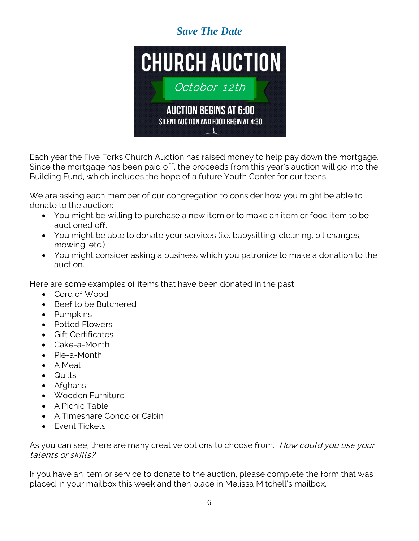## *Save The Date*



Each year the Five Forks Church Auction has raised money to help pay down the mortgage. Since the mortgage has been paid off, the proceeds from this year's auction will go into the Building Fund, which includes the hope of a future Youth Center for our teens.

We are asking each member of our congregation to consider how you might be able to donate to the auction:

- You might be willing to purchase a new item or to make an item or food item to be auctioned off.
- You might be able to donate your services (i.e. babysitting, cleaning, oil changes, mowing, etc.)
- You might consider asking a business which you patronize to make a donation to the auction.

Here are some examples of items that have been donated in the past:

- Cord of Wood
- Beef to be Butchered
- Pumpkins
- Potted Flowers
- Gift Certificates
- Cake-a-Month
- Pie-a-Month
- $\bullet$  A Meal
- Quilts
- Afghans
- Wooden Furniture
- A Picnic Table
- A Timeshare Condo or Cabin
- **Event Tickets**

As you can see, there are many creative options to choose from. How could you use your talents or skills?

If you have an item or service to donate to the auction, please complete the form that was placed in your mailbox this week and then place in Melissa Mitchell's mailbox.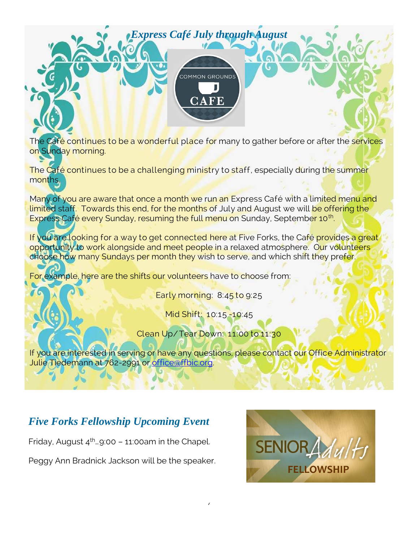*Express Café July through August*



The Café continues to be a wonderful place for many to gather before or after the services on Sunday morning.

The Café continues to be a challenging ministry to staff, especially during the summer months.

Many of you are aware that once a month we run an Express Café with a limited menu and limited staff. Towards this end, for the months of July and August we will be offering the Express Café every Sunday, resuming the full menu on Sunday, September 10<sup>th</sup>.

If you are looking for a way to get connected here at Five Forks, the Café provides a great opportunity to work alongside and meet people in a relaxed atmosphere. Our volunteers choose how many Sundays per month they wish to serve, and which shift they prefer.

For example, here are the shifts our volunteers have to choose from:

Early morning: 8:45 to 9:25

Mid Shift: 10:15 -10:45

Clean Up/Tear Down: 11:00 to 11:30

If you are interested in serving or have any questions, please contact our Office Administrator Julie Tiedemann at 762-2991 or [office@ffbic.org.](mailto:office@ffbic.org)

7

## *Five Forks Fellowship Upcoming Event*

Friday, August  $4<sup>th</sup>$  9:00 – 11:00am in the Chapel.

Peggy Ann Bradnick Jackson will be the speaker.

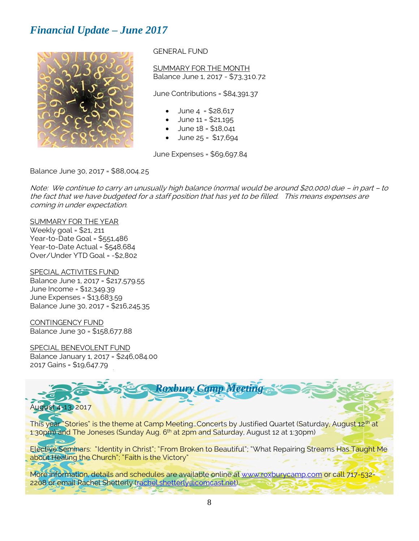## *Financial Update – June 2017*



GENERAL FUND

SUMMARY FOR THE MONTH Balance June 1, 2017 - \$73,310.72

June Contributions = \$84,391.37

- June 4 = \$28,617
- June 11 = \$21,195
- June 18 = \$18,041
- June 25 = \$17,694

June Expenses = \$69,697.84

Balance June 30, 2017 = \$88,004.25

Note: We continue to carry an unusually high balance (normal would be around \$20,000) due – in part – to the fact that we have budgeted for a staff position that has yet to be filled. This means expenses are coming in under expectation.

SUMMARY FOR THE YEAR Weekly goal = \$21, 211 Year-to-Date Goal = \$551,486 Year-to-Date Actual = \$548,684 Over/Under YTD Goal = -\$2,802

SPECIAL ACTIVITES FUND Balance June 1, 2017 = \$217,579.55 June Income = \$12,349.39 June Expenses = \$13,683.59 Balance June 30, 2017 = \$216,245.35

CONTINGENCY FUND Balance June 30 = \$158,677.88

SPECIAL BENEVOLENT FUND Balance January 1, 2017 = \$246,084.00 2017 Gains = \$19,647.79



This year "Stories" is the theme at Camp Meeting. Concerts by Justified Quartet (Saturday, August 12<sup>th</sup> at 1:30pm) and The Joneses (Sunday Aug. 6<sup>th</sup> at 2pm and Saturday, August 12 at 1:30pm)

Elective Seminars: "Identity in Christ"; "From Broken to Beautiful"; "What Repairing Streams Has Taught Me about Healing the Church"; "Faith is the Victory"

More information, details and schedules are available online at [www.roxburycamp.com](http://www.roxburycamp.com/) or call 717-532-2208 or email Rachel Shetterly [\(rachel.shetterly@comcast.net\)](mailto:rachel.shetterly@comcast.net).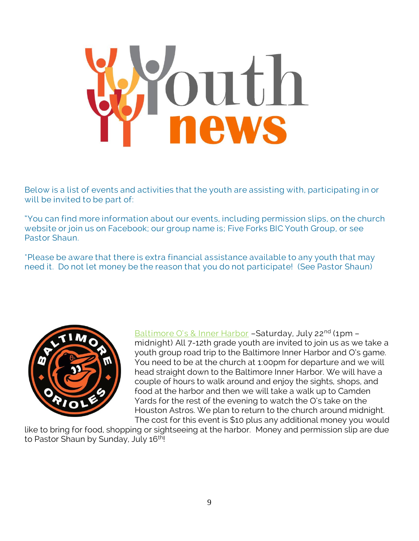# uth **AWS**

Below is a list of events and activities that the youth are assisting with, participating in or will be invited to be part of:

"You can find more information about our events, including permission slips, on the church website or join us on Facebook; our group name is; Five Forks BIC Youth Group, or see Pastor Shaun.

\*Please be aware that there is extra financial assistance available to any youth that may need it. Do not let money be the reason that you do not participate! (See Pastor Shaun)



Baltimore O's & Inner Harbor - Saturday, July 22<sup>nd</sup> (1pm midnight) All 7-12th grade youth are invited to join us as we take a youth group road trip to the Baltimore Inner Harbor and O's game. You need to be at the church at 1:00pm for departure and we will head straight down to the Baltimore Inner Harbor. We will have a couple of hours to walk around and enjoy the sights, shops, and food at the harbor and then we will take a walk up to Camden Yards for the rest of the evening to watch the O's take on the Houston Astros. We plan to return to the church around midnight. The cost for this event is \$10 plus any additional money you would

like to bring for food, shopping or sightseeing at the harbor. Money and permission slip are due to Pastor Shaun by Sunday, July 16<sup>th</sup>!